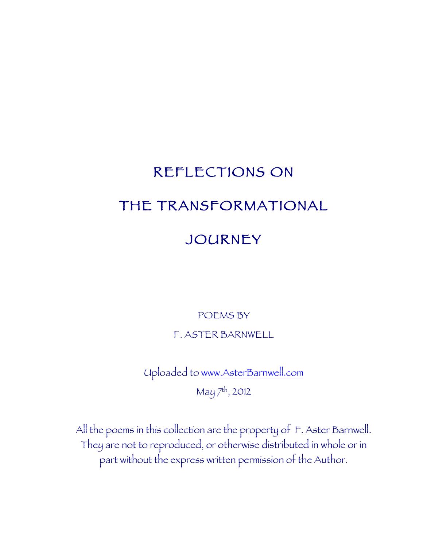# REFLECTIONS ON THE TRANSFORMATIONAL

## JOURNEY

POEMS BY

F. ASTER BARNWELL

Uploaded to www.AsterBarnwell.com May 7th, 2012

All the poems in this collection are the property of F. Aster Barnwell. They are not to reproduced, or otherwise distributed in whole or in part without the express written permission of the Author.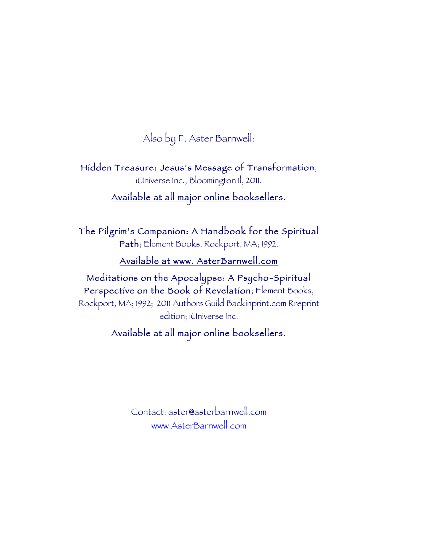Also by F. Aster Barnwell:

Hidden Treasure: Jesus's Message of Transformation, iUniverse Inc., Bloomington Il, 2011.

Available at all major online booksellers.

The Pilgrim's Companion: A Handbook for the Spiritual Path; Element Books, Rockport, MA; 1992.

Available at www. AsterBarnwell.com

Meditations on the Apocalypse: A Psycho-Spiritual Perspective on the Book of Revelation; Element Books, Rockport, MA; 1992; 2011 Authors Guild Backinprint.com Rreprint edition; iUniverse Inc.

Available at all major online booksellers.

Contact: aster@asterbarnwell.com www.AsterBarnwell.com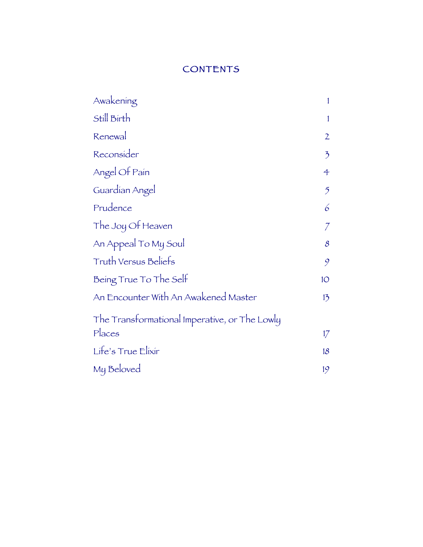## **CONTENTS**

| Awakening                                     |                |
|-----------------------------------------------|----------------|
| Still Birth                                   | 1              |
| Renewal                                       | $\mathfrak{2}$ |
| Reconsider                                    | $\mathcal{F}$  |
| Angel Of Pain                                 | 4              |
| Guardían Angel                                | $\mathfrak{H}$ |
| Prudence                                      | 6              |
| The Joy Of Heaven                             |                |
| An Appeal To My Soul                          | 8              |
| Truth Versus Beliefs                          | 9              |
| Being True To The Self                        | 1 <sup>O</sup> |
| An Encounter With An Awakened Master          | 13             |
| The Transformational Imperative, or The Lowly |                |
| Places                                        | 17             |
| Life's True Elixir                            | 18             |
| My Beloved                                    | 19             |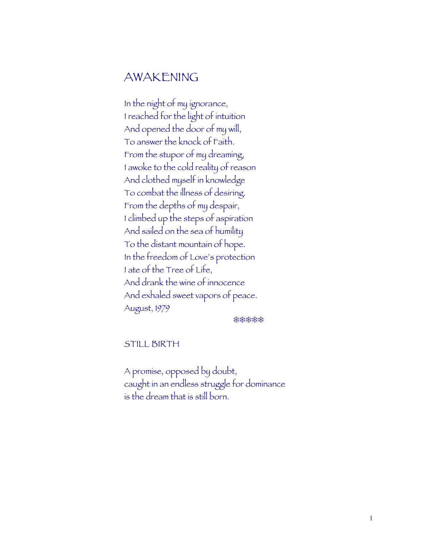## AWAKENING

In the night of my ignorance, I reached for the light of intuition And opened the door of my will, To answer the knock of Faith. From the stupor of my dreaming, I awoke to the cold reality of reason And clothed myself in knowledge To combat the illness of desiring. From the depths of my despair, I climbed up the steps of aspiration And sailed on the sea of humility To the distant mountain of hope. In the freedom of Love's protection I ate of the Tree of Life, And drank the wine of innocence And exhaled sweet vapors of peace. August, 1979

\*\*\*\*\*

STILL BIRTH

A promise, opposed by doubt, caught in an endless struggle for dominance is the dream that is still born.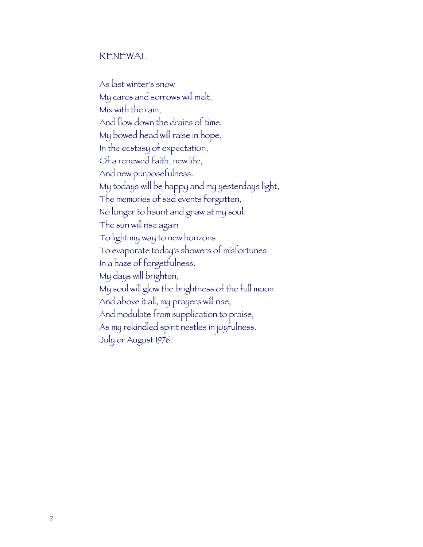#### RENEWAL

As last winter's snow My cares and sorrows will melt, Mix with the rain, And flow down the drains of time. My bowed head will raise in hope, In the ecstasy of expectation, Of a renewed faith, new life, And new purposefulness. My todays will be happy and my yesterdays light, The memories of sad events forgotten, No longer to haunt and gnaw at my soul. The sun will rise again To light my way to new horizons To evaporate today's showers of misfortunes In a haze of forgetfulness. My days will brighten, My soul will glow the brightness of the full moon And above it all, my prayers will rise, And modulate from supplication to praise, As my rekindled spirit nestles in joyfulness. July or August 1976.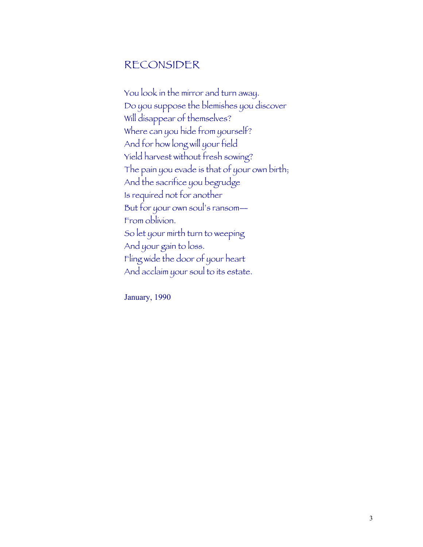## RECONSIDER

You look in the mirror and turn away. Do you suppose the blemishes you discover Will disappear of themselves? Where can you hide from yourself? And for how long will your field Yield harvest without fresh sowing? The pain you evade is that of your own birth; And the sacrifice you begrudge Is required not for another But for your own soul's ransom— From oblivion. So let your mirth turn to weeping And your gain to loss. Fling wide the door of your heart And acclaim your soul to its estate.

January, 1990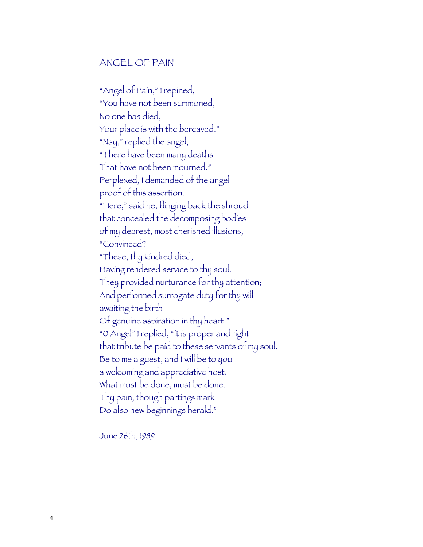#### ANGEL OF PAIN

"Angel of Pain," I repined, "You have not been summoned, No one has died, Your place is with the bereaved." "Nay," replied the angel, "There have been many deaths That have not been mourned." Perplexed, I demanded of the angel proof of this assertion. "Here," said he, flinging back the shroud that concealed the decomposing bodies of my dearest, most cherished illusions, "Convinced? "These, thy kindred died, Having rendered service to thy soul. They provided nurturance for thy attention; And performed surrogate duty for thy will awaiting the birth Of genuine aspiration in thy heart." "0 Angel" I replied, "it is proper and right that tribute be paid to these servants of my soul. Be to me a guest, and I will be to you a welcoming and appreciative host. What must be done, must be done. Thy pain, though partings mark Do also new beginnings herald."

June 26th, 1989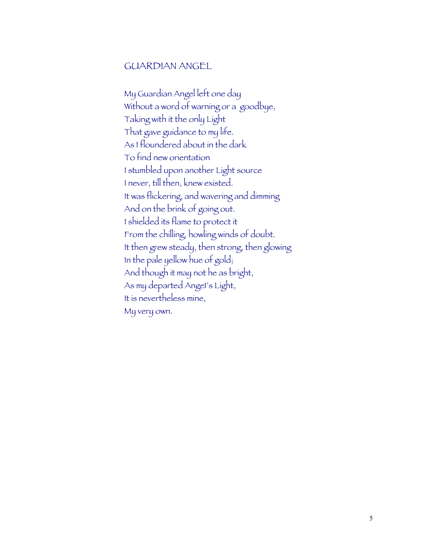#### GUARDIAN ANGEL

My Guardian Angel left one day Without a word of warning or a goodbye, Taking with it the only Light That gave guidance to my life. As I floundered about in the dark To find new orientation I stumbled upon another Light source I never, till then, knew existed. It was flickering, and wavering and dimming And on the brink of going out. I shielded its flame to protect it From the chilling, howling winds of doubt. It then grew steady, then strong, then glowing In the pale yellow hue of gold; And though it may not he as bright, As my departed Ange1's Light, It is nevertheless mine, My very own.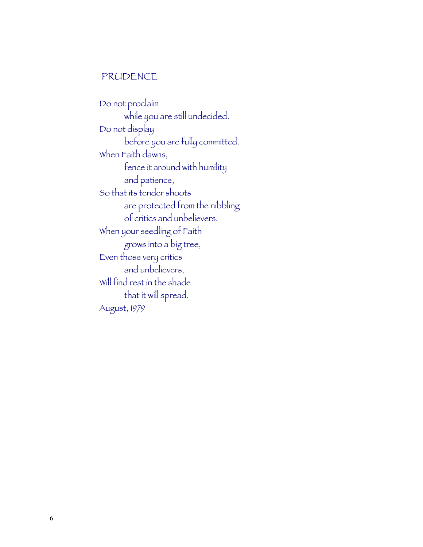#### PRUDENCE

Do not proclaim while you are still undecided. Do not display before you are fully committed. When Faith dawns, fence it around with humility and patience, So that its tender shoots are protected from the nibbling of critics and unbelievers. When your seedling of Faith grows into a big tree, Even those very critics and unbelievers, Will find rest in the shade that it will spread. August, 1979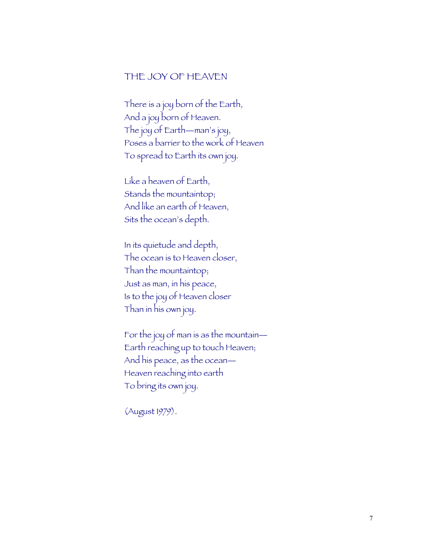#### THE JOY OF HEAVEN

There is a joy born of the Earth, And a joy born of Heaven. The joy of Earth—man's joy, Poses a barrier to the work of Heaven To spread to Earth its own joy.

Like a heaven of Earth, Stands the mountaintop; And like an earth of Heaven, Sits the ocean's depth.

In its quietude and depth, The ocean is to Heaven closer, Than the mountaintop; Just as man, in his peace, Is to the joy of Heaven closer Than in his own joy.

For the joy of man is as the mountain— Earth reaching up to touch Heaven; And his peace, as the ocean— Heaven reaching into earth To bring its own joy.

(August 1979).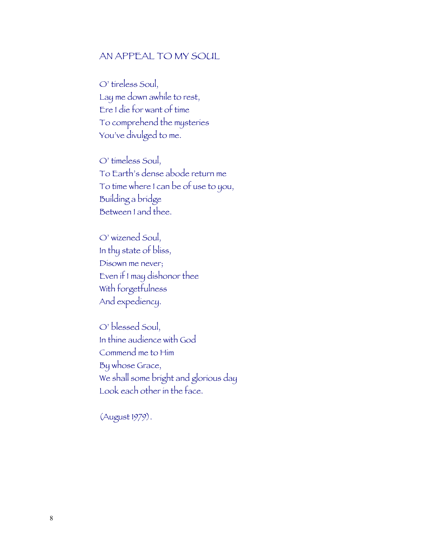#### AN APPEAL TO MY SOUL

O' tireless Soul, Lay me down awhile to rest, Ere I die for want of time To comprehend the mysteries You've divulged to me.

O' timeless Soul, To Earth's dense abode return me To time where I can be of use to you, Building a bridge Between I and thee.

O' wizened Soul, In thy state of bliss, Disown me never; Even if I may dishonor thee With forgetfulness And expediency.

O' blessed Soul, In thine audience with God Commend me to Him By whose Grace, We shall some bright and glorious day Look each other in the face.

(August 1979).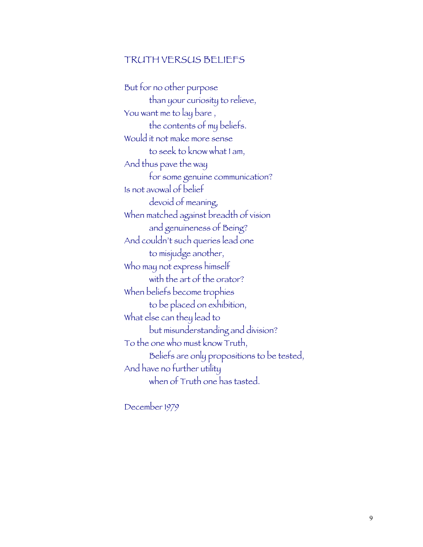#### TRUTH VERSUS BELIEFS

But for no other purpose than your curiosity to relieve, You want me to lay bare , the contents of my beliefs. Would it not make more sense to seek to know what I am, And thus pave the way for some genuine communication? Is not avowal of belief devoid of meaning, When matched against breadth of vision and genuineness of Being? And couldn't such queries lead one to misjudge another, Who may not express himself with the art of the orator? When beliefs become trophies to be placed on exhibition, What else can they lead to but misunderstanding and division? To the one who must know Truth, Beliefs are only propositions to be tested, And have no further utility when of Truth one has tasted.

December 1979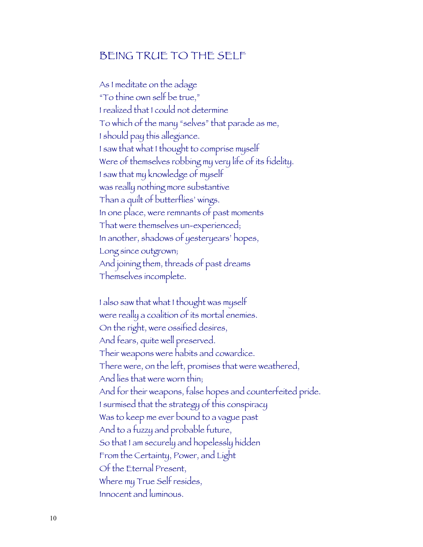## BEING TRUE TO THE SELF

As I meditate on the adage "To thine own self be true," I realized that I could not determine To which of the many "selves" that parade as me, I should pay this allegiance. I saw that what I thought to comprise myself Were of themselves robbing my very life of its fidelity. I saw that my knowledge of myself was really nothing more substantive Than a quilt of butterflies' wings. In one place, were remnants of past moments That were themselves un-experienced; In another, shadows of yesteryears' hopes, Long since outgrown; And joining them, threads of past dreams Themselves incomplete.

I also saw that what I thought was myself were really a coalition of its mortal enemies. On the right, were ossified desires, And fears, quite well preserved. Their weapons were habits and cowardice. There were, on the left, promises that were weathered, And lies that were worn thin; And for their weapons, false hopes and counterfeited pride. I surmised that the strategy of this conspiracy Was to keep me ever bound to a vague past And to a fuzzy and probable future, So that I am securely and hopelessly hidden From the Certainty, Power, and Light Of the Eternal Present, Where my True Self resides, Innocent and luminous.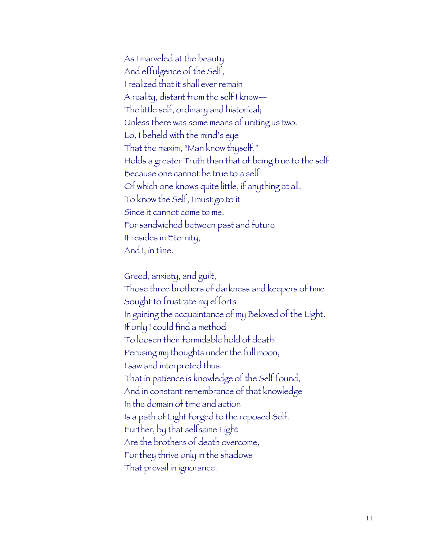As I marveled at the beauty And effulgence of the Self, I realized that it shall ever remain A reality, distant from the self I knew— The little self, ordinary and historical; Unless there was some means of uniting us two. Lo, I beheld with the mind's eye That the maxim, "Man know thyself," Holds a greater Truth than that of being true to the self Because one cannot be true to a self Of which one knows quite little, if anything at all. To know the Self, I must go to it Since it cannot come to me. For sandwiched between past and future It resides in Eternity, And I, in time.

Greed, anxiety, and guilt, Those three brothers of darkness and keepers of time Sought to frustrate my efforts In gaining the acquaintance of my Beloved of the Light. If only I could find a method To loosen their formidable hold of death! Perusing my thoughts under the full moon, I saw and interpreted thus: That in patience is knowledge of the Self found, And in constant remembrance of that knowledge In the domain of time and action Is a path of Light forged to the reposed Self. Further, by that selfsame Light Are the brothers of death overcome, For they thrive only in the shadows That prevail in ignorance.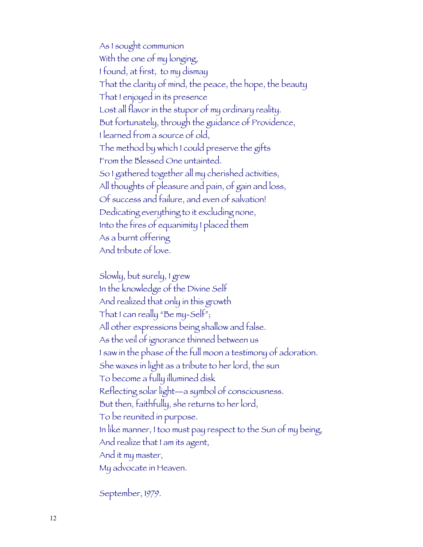As I sought communion With the one of my longing, I found, at first, to my dismay That the clarity of mind, the peace, the hope, the beauty That I enjoyed in its presence Lost all flavor in the stupor of my ordinary reality. But fortunately, through the guidance of Providence, I learned from a source of old, The method by which I could preserve the gifts From the Blessed One untainted. So I gathered together all my cherished activities, All thoughts of pleasure and pain, of gain and loss, Of success and failure, and even of salvation! Dedicating everything to it excluding none, Into the fires of equanimity I placed them As a burnt offering And tribute of love.

Slowly, but surely, I grew In the knowledge of the Divine Self And realized that only in this growth That I can really "Be my-Self"; All other expressions being shallow and false. As the veil of ignorance thinned between us I saw in the phase of the full moon a testimony of adoration. She waxes in light as a tribute to her lord, the sun To become a fully illumined disk Reflecting solar light—a symbol of consciousness. But then, faithfully, she returns to her lord, To be reunited in purpose. In like manner, I too must pay respect to the Sun of my being, And realize that I am its agent, And it my master, My advocate in Heaven.

September, 1979.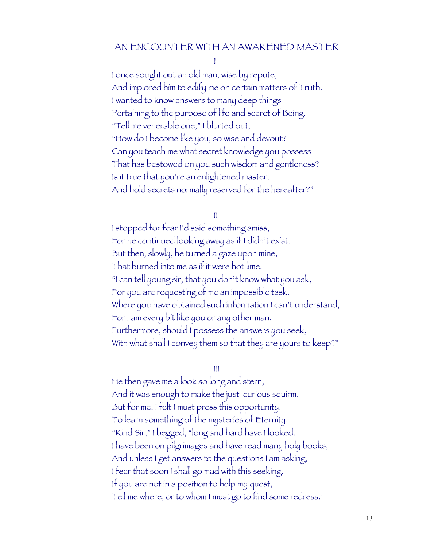#### AN ENCOUNTER WITH AN AWAKENED MASTER

I

I once sought out an old man, wise by repute, And implored him to edify me on certain matters of Truth. I wanted to know answers to many deep things Pertaining to the purpose of life and secret of Being. "Tell me venerable one," I blurted out, "How do I become like you, so wise and devout? Can you teach me what secret knowledge you possess That has bestowed on you such wisdom and gentleness? Is it true that you're an enlightened master, And hold secrets normally reserved for the hereafter?"

II

I stopped for fear I'd said something amiss, For he continued looking away as if I didn't exist. But then, slowly, he turned a gaze upon mine, That burned into me as if it were hot lime. "I can tell young sir, that you don't know what you ask, For you are requesting of me an impossible task. Where you have obtained such information I can't understand, For I am every bit like you or any other man. Furthermore, should I possess the answers you seek, With what shall I convey them so that they are yours to keep?"

III

He then gave me a look so long and stern, And it was enough to make the just-curious squirm. But for me, I felt I must press this opportunity, To learn something of the mysteries of Eternity. "Kind Sir," I begged, "long and hard have I looked. I have been on pilgrimages and have read many holy books, And unless I get answers to the questions I am asking, I fear that soon I shall go mad with this seeking. If you are not in a position to help my quest, Tell me where, or to whom I must go to find some redress."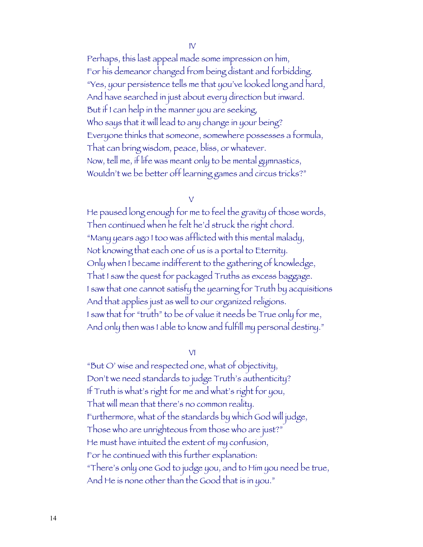IV

Perhaps, this last appeal made some impression on him, For his demeanor changed from being distant and forbidding. "Yes, your persistence tells me that you've looked long and hard, And have searched in just about every direction but inward. But if I can help in the manner you are seeking, Who says that it will lead to any change in your being? Everyone thinks that someone, somewhere possesses a formula, That can bring wisdom, peace, bliss, or whatever. Now, tell me, if life was meant only to be mental gymnastics, Wou1dn't we be better off learning games and circus tricks?"

V

He paused long enough for me to feel the gravity of those words, Then continued when he felt he'd struck the right chord. "Many years ago I too was afflicted with this mental malady, Not knowing that each one of us is a portal to Eternity. Only when I became indifferent to the gathering of knowledge, That I saw the quest for packaged Truths as excess baggage. I saw that one cannot satisfy the yearning for Truth by acquisitions And that applies just as well to our organized religions. I saw that for "truth" to be of value it needs be True only for me, And only then was I able to know and fulfill my personal destiny."

VI

"But O' wise and respected one, what of objectivity, Don't we need standards to judge Truth's authenticity? If Truth is what's right for me and what's right for you, That will mean that there's no common reality. Furthermore, what of the standards by which God will judge, Those who are unrighteous from those who are just?" He must have intuited the extent of my confusion, For he continued with this further explanation: "There's only one God to judge you, and to Him you need be true, And He is none other than the Good that is in you."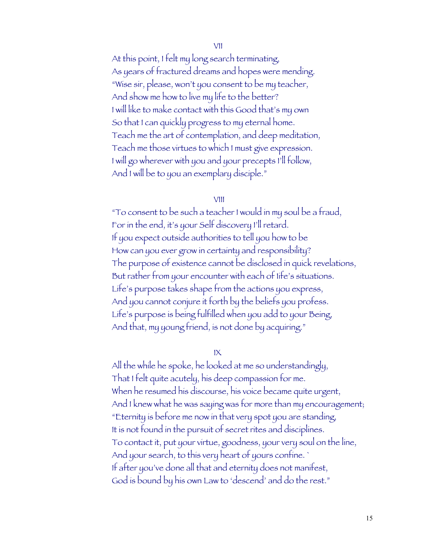#### VII

At this point, I felt my long search terminating, As years of fractured dreams and hopes were mending. "Wise sir, please, won't you consent to be my teacher, And show me how to live my life to the better? I will like to make contact with this Good that's my own So that I can quickly progress to my eternal home. Teach me the art of contemplation, and deep meditation, Teach me those virtues to which I must give expression. I will go wherever with you and your precepts I'll follow, And I will be to you an exemplary disciple."

#### VIII

"To consent to be such a teacher I would in my soul be a fraud, For in the end, it's your Self discovery I'll retard. If you expect outside authorities to tell you how to be How can you ever grow in certainty and responsibility? The purpose of existence cannot be disclosed in quick revelations, But rather from your encounter with each of 1ife's situations. Life's purpose takes shape from the actions you express, And you cannot conjure it forth by the beliefs you profess. Life's purpose is being fulfilled when you add to your Being, And that, my young friend, is not done by acquiring."

IX

All the while he spoke, he looked at me so understandingly, That I felt quite acutely, his deep compassion for me. When he resumed his discourse, his voice became quite urgent, And I knew what he was saying was for more than my encouragement; "Eternity is before me now in that very spot you are standing, It is not found in the pursuit of secret rites and disciplines. To contact it, put your virtue, goodness, your very soul on the line, And your search, to this very heart of yours confine. ` If after you've done all that and eternity does not manifest, God is bound by his own Law to 'descend' and do the rest."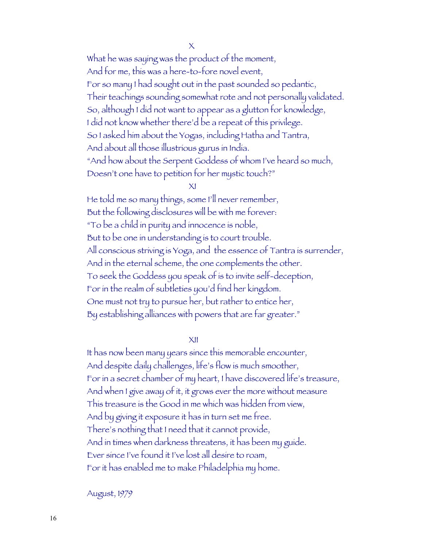$\times$ 

What he was saying was the product of the moment, And for me, this was a here-to-fore novel event, For so many I had sought out in the past sounded so pedantic, Their teachings sounding somewhat rote and not personally validated. So, although I did not want to appear as a glutton for knowledge, I did not know whether there'd be a repeat of this privilege. So I asked him about the Yogas, including Hatha and Tantra, And about all those illustrious gurus in India. "And how about the Serpent Goddess of whom I've heard so much, Doesn't one have to petition for her mystic touch?"

XI

He told me so many things, some I'll never remember, But the following disclosures will be with me forever: "To be a child in purity and innocence is noble, But to be one in understanding is to court trouble. All conscious striving is Yoga, and the essence of Tantra is surrender, And in the eternal scheme, the one complements the other. To seek the Goddess you speak of is to invite self-deception, For in the realm of subtleties you'd find her kingdom. One must not try to pursue her, but rather to entice her, By establishing alliances with powers that are far greater."

XII

It has now been many years since this memorable encounter, And despite daily challenges, life's flow is much smoother, For in a secret chamber of my heart, I have discovered life's treasure, And when I give away of it, it grows ever the more without measure This treasure is the Good in me which was hidden from view, And by giving it exposure it has in turn set me free. There's nothing that I need that it cannot provide, And in times when darkness threatens, it has been my guide. Ever since I've found it I've lost all desire to roam, For it has enabled me to make Philadelphia my home.

August, 1979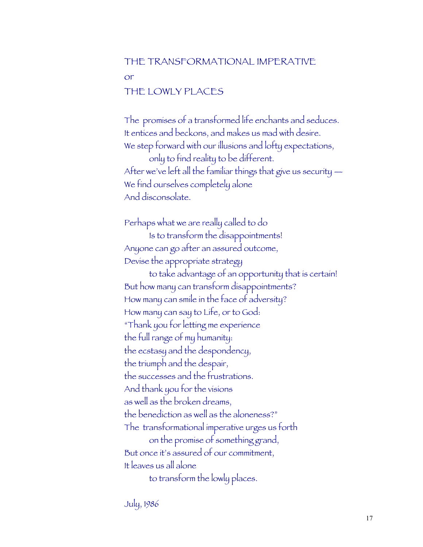### THE TRANSFORMATIONAL IMPERATIVE

or

#### THE LOWLY PLACES

The promises of a transformed life enchants and seduces. It entices and beckons, and makes us mad with desire. We step forward with our illusions and lofty expectations, only to find reality to be different. After we've left all the familiar things that give us security — We find ourselves completely alone And disconsolate.

Perhaps what we are really called to do Is to transform the disappointments! Anyone can go after an assured outcome, Devise the appropriate strategy to take advantage of an opportunity that is certain! But how many can transform disappointments? How many can smile in the face of adversity? How many can say to Life, or to God: "Thank you for letting me experience the full range of my humanity: the ecstasy and the despondency, the triumph and the despair, the successes and the frustrations. And thank you for the visions as well as the broken dreams, the benediction as well as the aloneness?" The transformational imperative urges us forth on the promise of something grand, But once it's assured of our commitment, It leaves us all alone to transform the lowly places.

July, 1986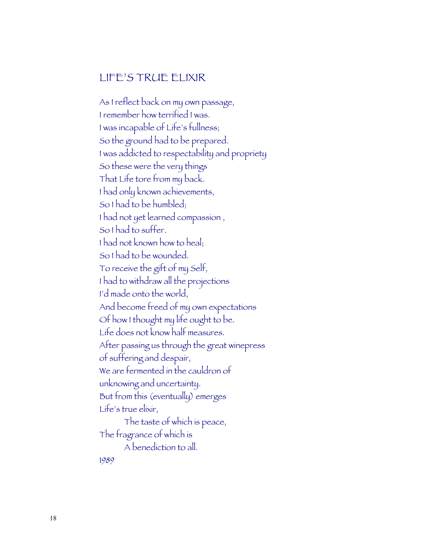## LIFE'S TRUE ELIXIR

As I reflect back on my own passage, I remember how terrified I was. I was incapable of Life's fullness; So the ground had to be prepared. I was addicted to respectability and propriety So these were the very things That Life tore from my back. I had only known achievements, So I had to be humbled; I had not yet learned compassion , So I had to suffer. I had not known how to heal; So I had to be wounded. To receive the gift of my Self, I had to withdraw all the projections I'd made onto the world, And become freed of my own expectations Of how I thought my life ought to be. Life does not know half measures. After passing us through the great winepress of suffering and despair, We are fermented in the cauldron of unknowing and uncertainty. But from this (eventually) emerges Life's true elixir, The taste of which is peace, The fragrance of which is A benediction to all. 1989